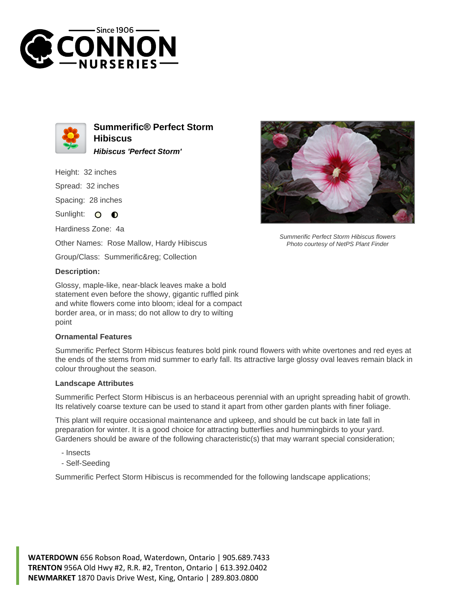



**Summerific® Perfect Storm Hibiscus Hibiscus 'Perfect Storm'**

Height: 32 inches

Spread: 32 inches

Spacing: 28 inches

Sunlight: O **O** 

Hardiness Zone: 4a

Other Names: Rose Mallow, Hardy Hibiscus

Group/Class: Summerific® Collection

## **Description:**

Glossy, maple-like, near-black leaves make a bold statement even before the showy, gigantic ruffled pink and white flowers come into bloom; ideal for a compact border area, or in mass; do not allow to dry to wilting point

## **Ornamental Features**

Summerific Perfect Storm Hibiscus features bold pink round flowers with white overtones and red eyes at the ends of the stems from mid summer to early fall. Its attractive large glossy oval leaves remain black in colour throughout the season.

## **Landscape Attributes**

Summerific Perfect Storm Hibiscus is an herbaceous perennial with an upright spreading habit of growth. Its relatively coarse texture can be used to stand it apart from other garden plants with finer foliage.

This plant will require occasional maintenance and upkeep, and should be cut back in late fall in preparation for winter. It is a good choice for attracting butterflies and hummingbirds to your yard. Gardeners should be aware of the following characteristic(s) that may warrant special consideration;

- Insects
- Self-Seeding

Summerific Perfect Storm Hibiscus is recommended for the following landscape applications;



Summerific Perfect Storm Hibiscus flowers Photo courtesy of NetPS Plant Finder

**WATERDOWN** 656 Robson Road, Waterdown, Ontario | 905.689.7433 **TRENTON** 956A Old Hwy #2, R.R. #2, Trenton, Ontario | 613.392.0402 **NEWMARKET** 1870 Davis Drive West, King, Ontario | 289.803.0800